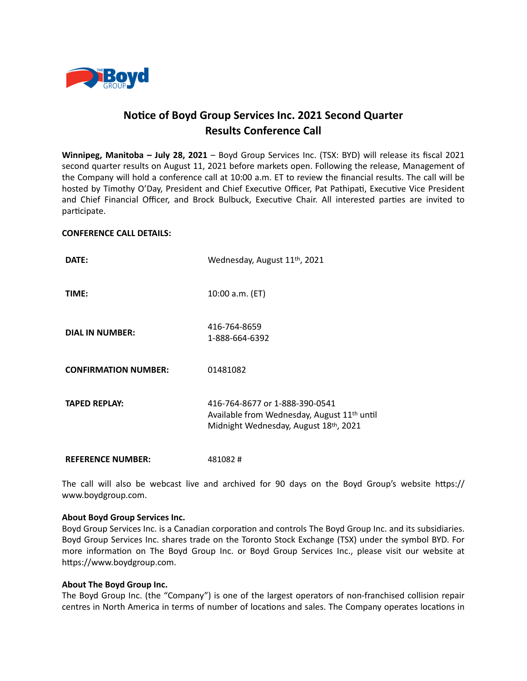

# **Notice of Boyd Group Services Inc. 2021 Second Quarter Results Conference Call**

**Winnipeg, Manitoba – July 28, 2021** – Boyd Group Services Inc. (TSX: BYD) will release its fiscal 2021 second quarter results on August 11, 2021 before markets open. Following the release, Management of the Company will hold a conference call at 10:00 a.m. ET to review the financial results. The call will be hosted by Timothy O'Day, President and Chief Executive Officer, Pat Pathipati, Executive Vice President and Chief Financial Officer, and Brock Bulbuck, Executive Chair. All interested parties are invited to participate.

### **CONFERENCE CALL DETAILS:**

| DATE:                       | Wednesday, August 11 <sup>th</sup> , 2021                                                                                          |
|-----------------------------|------------------------------------------------------------------------------------------------------------------------------------|
| TIME:                       | 10:00 a.m. (ET)                                                                                                                    |
| <b>DIAL IN NUMBER:</b>      | 416-764-8659<br>1-888-664-6392                                                                                                     |
| <b>CONFIRMATION NUMBER:</b> | 01481082                                                                                                                           |
| <b>TAPED REPLAY:</b>        | 416-764-8677 or 1-888-390-0541<br>Available from Wednesday, August 11 <sup>th</sup> until<br>Midnight Wednesday, August 18th, 2021 |
| <b>REFERENCE NUMBER:</b>    | 481082#                                                                                                                            |

The call will also be webcast live and archived for 90 days on the Boyd Group's website https:// www.boydgroup.com.

### **About Boyd Group Services Inc.**

Boyd Group Services Inc. is a Canadian corporation and controls The Boyd Group Inc. and its subsidiaries. Boyd Group Services Inc. shares trade on the Toronto Stock Exchange (TSX) under the symbol BYD. For more information on The Boyd Group Inc. or Boyd Group Services Inc., please visit our website at https://www.boydgroup.com.

### **About The Boyd Group Inc.**

The Boyd Group Inc. (the "Company") is one of the largest operators of non-franchised collision repair centres in North America in terms of number of locations and sales. The Company operates locations in